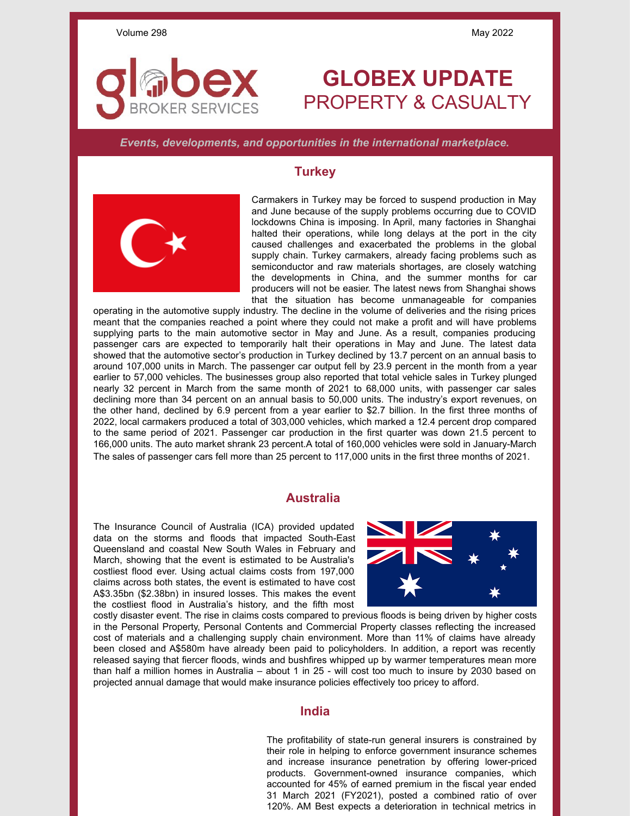## **GLOBEX UPDATE** PROPERTY & CASUALTY

*Events, developments, and opportunities in the international marketplace.*

## **Turkey**



**ROKER SERVICES** 

Carmakers in Turkey may be forced to suspend production in May and June because of the supply problems occurring due to COVID lockdowns China is imposing. In April, many factories in Shanghai halted their operations, while long delays at the port in the city caused challenges and exacerbated the problems in the global supply chain. Turkey carmakers, already facing problems such as semiconductor and raw materials shortages, are closely watching the developments in China, and the summer months for car producers will not be easier. The latest news from Shanghai shows that the situation has become unmanageable for companies

operating in the automotive supply industry. The decline in the volume of deliveries and the rising prices meant that the companies reached a point where they could not make a profit and will have problems supplying parts to the main automotive sector in May and June. As a result, companies producing passenger cars are expected to temporarily halt their operations in May and June. The latest data showed that the automotive sector's production in Turkey declined by 13.7 percent on an annual basis to around 107,000 units in March. The passenger car output fell by 23.9 percent in the month from a year earlier to 57,000 vehicles. The businesses group also reported that total vehicle sales in Turkey plunged nearly 32 percent in March from the same month of 2021 to 68,000 units, with passenger car sales declining more than 34 percent on an annual basis to 50,000 units. The industry's export revenues, on the other hand, declined by 6.9 percent from a year earlier to \$2.7 billion. In the first three months of 2022, local carmakers produced a total of 303,000 vehicles, which marked a 12.4 percent drop compared to the same period of 2021. Passenger car production in the first quarter was down 21.5 percent to 166,000 units. The auto market shrank 23 percent.A total of 160,000 vehicles were sold in January-March The sales of passenger cars fell more than 25 percent to 117,000 units in the first three months of 2021.

## **Australia**

The Insurance Council of Australia (ICA) provided updated data on the storms and floods that impacted South-East Queensland and coastal New South Wales in February and March, showing that the event is estimated to be Australia's costliest flood ever. Using actual claims costs from 197,000 claims across both states, the event is estimated to have cost A\$3.35bn (\$2.38bn) in insured losses. This makes the event the costliest flood in Australia's history, and the fifth most



costly disaster event. The rise in claims costs compared to previous floods is being driven by higher costs in the Personal Property, Personal Contents and Commercial Property classes reflecting the increased cost of materials and a challenging supply chain environment. More than 11% of claims have already been closed and A\$580m have already been paid to policyholders. In addition, a report was recently released saying that fiercer floods, winds and bushfires whipped up by warmer temperatures mean more than half a million homes in Australia – about 1 in 25 - will cost too much to insure by 2030 based on projected annual damage that would make insurance policies effectively too pricey to afford.

## **India**

The profitability of state-run general insurers is constrained by their role in helping to enforce government insurance schemes and increase insurance penetration by offering lower-priced products. Government-owned insurance companies, which accounted for 45% of earned premium in the fiscal year ended 31 March 2021 (FY2021), posted a combined ratio of over 120%. AM Best expects a deterioration in technical metrics in